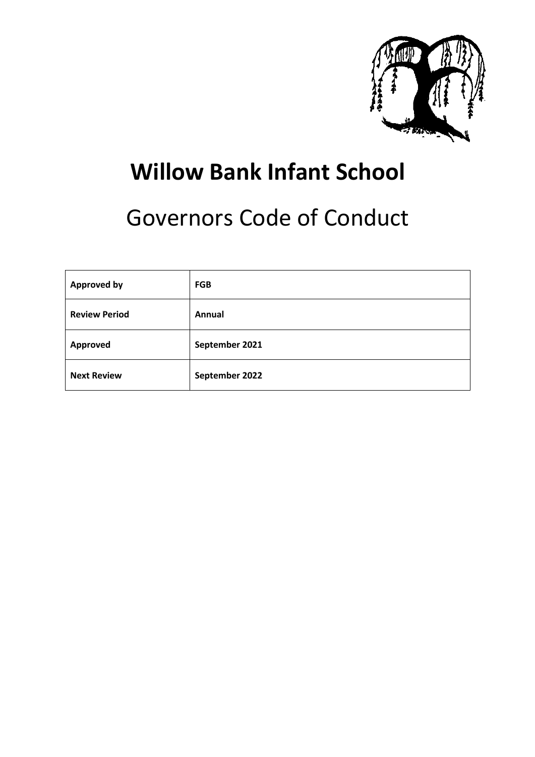

# **Willow Bank Infant School**

# Governors Code of Conduct

| <b>Approved by</b>   | <b>FGB</b>     |
|----------------------|----------------|
| <b>Review Period</b> | Annual         |
| Approved             | September 2021 |
| <b>Next Review</b>   | September 2022 |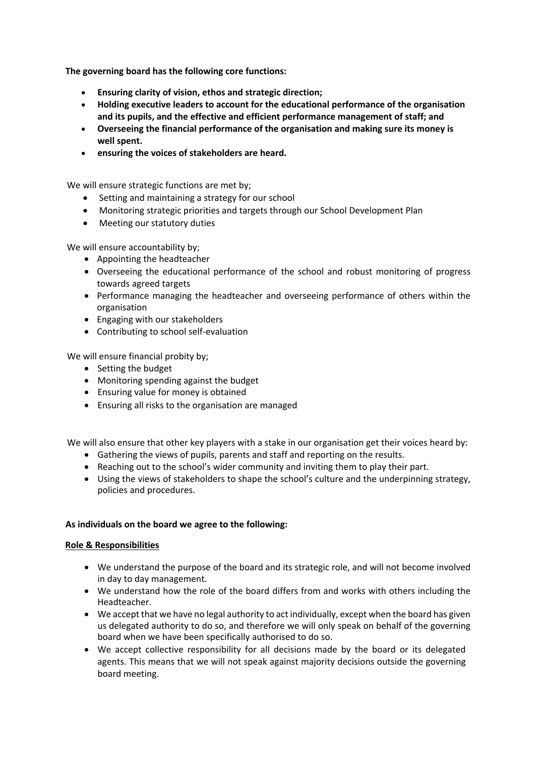**The governing board has the following core functions:**

- **Ensuring clarity of vision, ethos and strategic direction;**
- **Holding executive leaders to account for the educational performance of the organisation and its pupils, and the effective and efficient performance management of staff; and**
- **Overseeing the financial performance of the organisation and making sure its money is well spent.**
- **ensuring the voices of stakeholders are heard.**

We will ensure strategic functions are met by;

- Setting and maintaining a strategy for our school
- Monitoring strategic priorities and targets through our School Development Plan
- Meeting our statutory duties

We will ensure accountability by:

- Appointing the headteacher
- Overseeing the educational performance of the school and robust monitoring of progress towards agreed targets
- Performance managing the headteacher and overseeing performance of others within the organisation
- Engaging with our stakeholders
- Contributing to school self-evaluation

We will ensure financial probity by;

- Setting the budget
- Monitoring spending against the budget
- Ensuring value for money is obtained
- Ensuring all risks to the organisation are managed

We will also ensure that other key players with a stake in our organisation get their voices heard by:

- Gathering the views of pupils, parents and staff and reporting on the results.
- Reaching out to the school's wider community and inviting them to play their part.
- Using the views of stakeholders to shape the school's culture and the underpinning strategy, policies and procedures.

### **As individuals on the board we agree to the following:**

### **Role & Responsibilities**

- We understand the purpose of the board and its strategic role, and will not become involved in day to day management.
- We understand how the role of the board differs from and works with others including the Headteacher.
- We accept that we have no legal authority to act individually, except when the board has given us delegated authority to do so, and therefore we will only speak on behalf of the governing board when we have been specifically authorised to do so.
- We accept collective responsibility for all decisions made by the board or its delegated agents. This means that we will not speak against majority decisions outside the governing board meeting.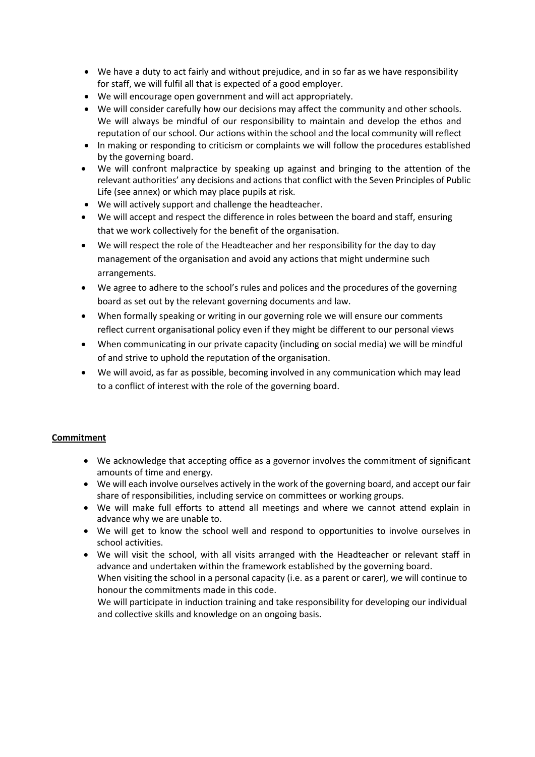- We have a duty to act fairly and without prejudice, and in so far as we have responsibility for staff, we will fulfil all that is expected of a good employer.
- We will encourage open government and will act appropriately.
- We will consider carefully how our decisions may affect the community and other schools. We will always be mindful of our responsibility to maintain and develop the ethos and reputation of our school. Our actions within the school and the local community will reflect
- In making or responding to criticism or complaints we will follow the procedures established by the governing board.
- We will confront malpractice by speaking up against and bringing to the attention of the relevant authorities' any decisions and actions that conflict with the Seven Principles of Public Life (see annex) or which may place pupils at risk.
- We will actively support and challenge the headteacher.
- We will accept and respect the difference in roles between the board and staff, ensuring that we work collectively for the benefit of the organisation.
- We will respect the role of the Headteacher and her responsibility for the day to day management of the organisation and avoid any actions that might undermine such arrangements.
- We agree to adhere to the school's rules and polices and the procedures of the governing board as set out by the relevant governing documents and law.
- When formally speaking or writing in our governing role we will ensure our comments reflect current organisational policy even if they might be different to our personal views
- When communicating in our private capacity (including on social media) we will be mindful of and strive to uphold the reputation of the organisation.
- We will avoid, as far as possible, becoming involved in any communication which may lead to a conflict of interest with the role of the governing board.

## **Commitment**

- We acknowledge that accepting office as a governor involves the commitment of significant amounts of time and energy.
- We will each involve ourselves actively in the work of the governing board, and accept our fair share of responsibilities, including service on committees or working groups.
- We will make full efforts to attend all meetings and where we cannot attend explain in advance why we are unable to.
- We will get to know the school well and respond to opportunities to involve ourselves in school activities.
- We will visit the school, with all visits arranged with the Headteacher or relevant staff in advance and undertaken within the framework established by the governing board. When visiting the school in a personal capacity (i.e. as a parent or carer), we will continue to honour the commitments made in this code.

We will participate in induction training and take responsibility for developing our individual and collective skills and knowledge on an ongoing basis.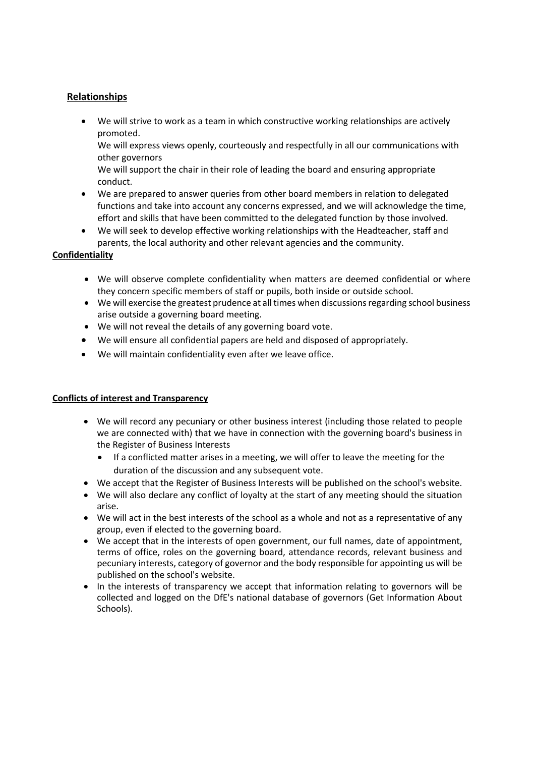## **Relationships**

• We will strive to work as a team in which constructive working relationships are actively promoted.

We will express views openly, courteously and respectfully in all our communications with other governors

We will support the chair in their role of leading the board and ensuring appropriate conduct.

- We are prepared to answer queries from other board members in relation to delegated functions and take into account any concerns expressed, and we will acknowledge the time, effort and skills that have been committed to the delegated function by those involved.
- We will seek to develop effective working relationships with the Headteacher, staff and parents, the local authority and other relevant agencies and the community.

## **Confidentiality**

- We will observe complete confidentiality when matters are deemed confidential or where they concern specific members of staff or pupils, both inside or outside school.
- We will exercise the greatest prudence at all times when discussions regarding school business arise outside a governing board meeting.
- We will not reveal the details of any governing board vote.
- We will ensure all confidential papers are held and disposed of appropriately.
- We will maintain confidentiality even after we leave office.

## **Conflicts of interest and Transparency**

- We will record any pecuniary or other business interest (including those related to people we are connected with) that we have in connection with the governing board's business in the Register of Business Interests
	- If a conflicted matter arises in a meeting, we will offer to leave the meeting for the duration of the discussion and any subsequent vote.
- We accept that the Register of Business Interests will be published on the school's website.
- We will also declare any conflict of loyalty at the start of any meeting should the situation arise.
- We will act in the best interests of the school as a whole and not as a representative of any group, even if elected to the governing board.
- We accept that in the interests of open government, our full names, date of appointment, terms of office, roles on the governing board, attendance records, relevant business and pecuniary interests, category of governor and the body responsible for appointing us will be published on the school's website.
- In the interests of transparency we accept that information relating to governors will be collected and logged on the DfE's national database of governors (Get Information About Schools).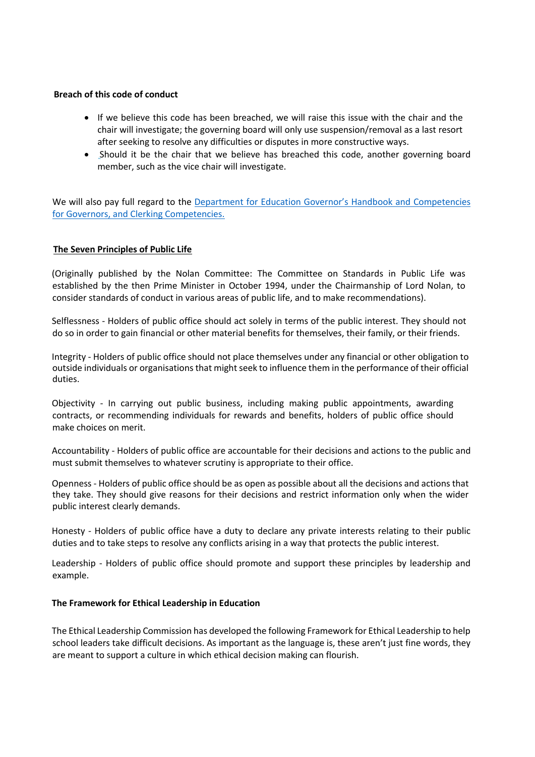#### **Breach of this code of conduct**

- If we believe this code has been breached, we will raise this issue with the chair and the chair will investigate; the governing board will only use suspension/removal as a last resort after seeking to resolve any difficulties or disputes in more constructive ways.
- Should it be the chair that we believe has breached this code, another governing board member, such as the vice chair will investigate.

We will also pay full regard to the Department for Education Governor's Handbook and Competencies for Governors, and Clerking Competencies.

### **The Seven Principles of Public Life**

(Originally published by the Nolan Committee: The Committee on Standards in Public Life was established by the then Prime Minister in October 1994, under the Chairmanship of Lord Nolan, to consider standards of conduct in various areas of public life, and to make recommendations).

Selflessness - Holders of public office should act solely in terms of the public interest. They should not do so in order to gain financial or other material benefits for themselves, their family, or their friends.

Integrity - Holders of public office should not place themselves under any financial or other obligation to outside individuals or organisations that might seek to influence them in the performance of their official duties.

Objectivity - In carrying out public business, including making public appointments, awarding contracts, or recommending individuals for rewards and benefits, holders of public office should make choices on merit.

Accountability - Holders of public office are accountable for their decisions and actions to the public and must submit themselves to whatever scrutiny is appropriate to their office.

Openness - Holders of public office should be as open as possible about all the decisions and actions that they take. They should give reasons for their decisions and restrict information only when the wider public interest clearly demands.

Honesty - Holders of public office have a duty to declare any private interests relating to their public duties and to take steps to resolve any conflicts arising in a way that protects the public interest.

Leadership - Holders of public office should promote and support these principles by leadership and example.

#### **The Framework for Ethical Leadership in Education**

The Ethical Leadership Commission has developed the following Framework for Ethical Leadership to help school leaders take difficult decisions. As important as the language is, these aren't just fine words, they are meant to support a culture in which ethical decision making can flourish.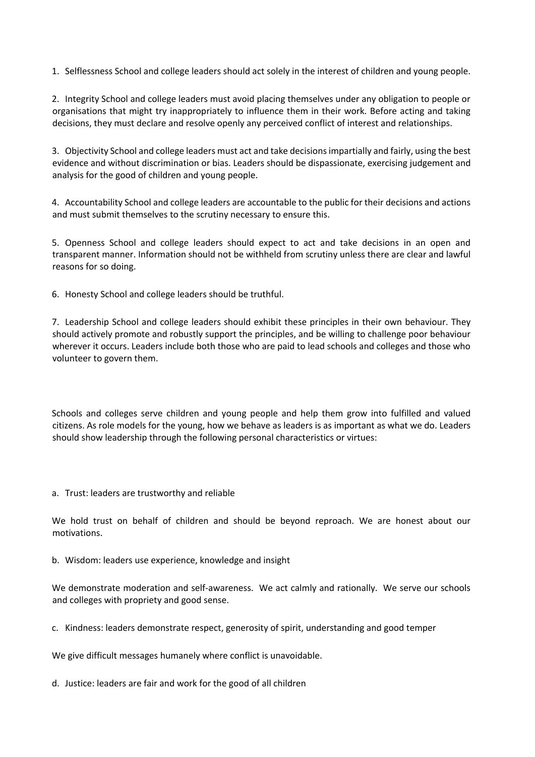1. Selflessness School and college leaders should act solely in the interest of children and young people.

2. Integrity School and college leaders must avoid placing themselves under any obligation to people or organisations that might try inappropriately to influence them in their work. Before acting and taking decisions, they must declare and resolve openly any perceived conflict of interest and relationships.

3. Objectivity School and college leaders must act and take decisions impartially and fairly, using the best evidence and without discrimination or bias. Leaders should be dispassionate, exercising judgement and analysis for the good of children and young people.

4. Accountability School and college leaders are accountable to the public for their decisions and actions and must submit themselves to the scrutiny necessary to ensure this.

5. Openness School and college leaders should expect to act and take decisions in an open and transparent manner. Information should not be withheld from scrutiny unless there are clear and lawful reasons for so doing.

6. Honesty School and college leaders should be truthful.

7. Leadership School and college leaders should exhibit these principles in their own behaviour. They should actively promote and robustly support the principles, and be willing to challenge poor behaviour wherever it occurs. Leaders include both those who are paid to lead schools and colleges and those who volunteer to govern them.

Schools and colleges serve children and young people and help them grow into fulfilled and valued citizens. As role models for the young, how we behave as leaders is as important as what we do. Leaders should show leadership through the following personal characteristics or virtues:

a. Trust: leaders are trustworthy and reliable

We hold trust on behalf of children and should be beyond reproach. We are honest about our motivations.

b. Wisdom: leaders use experience, knowledge and insight

We demonstrate moderation and self-awareness. We act calmly and rationally. We serve our schools and colleges with propriety and good sense.

c. Kindness: leaders demonstrate respect, generosity of spirit, understanding and good temper

We give difficult messages humanely where conflict is unavoidable.

d. Justice: leaders are fair and work for the good of all children